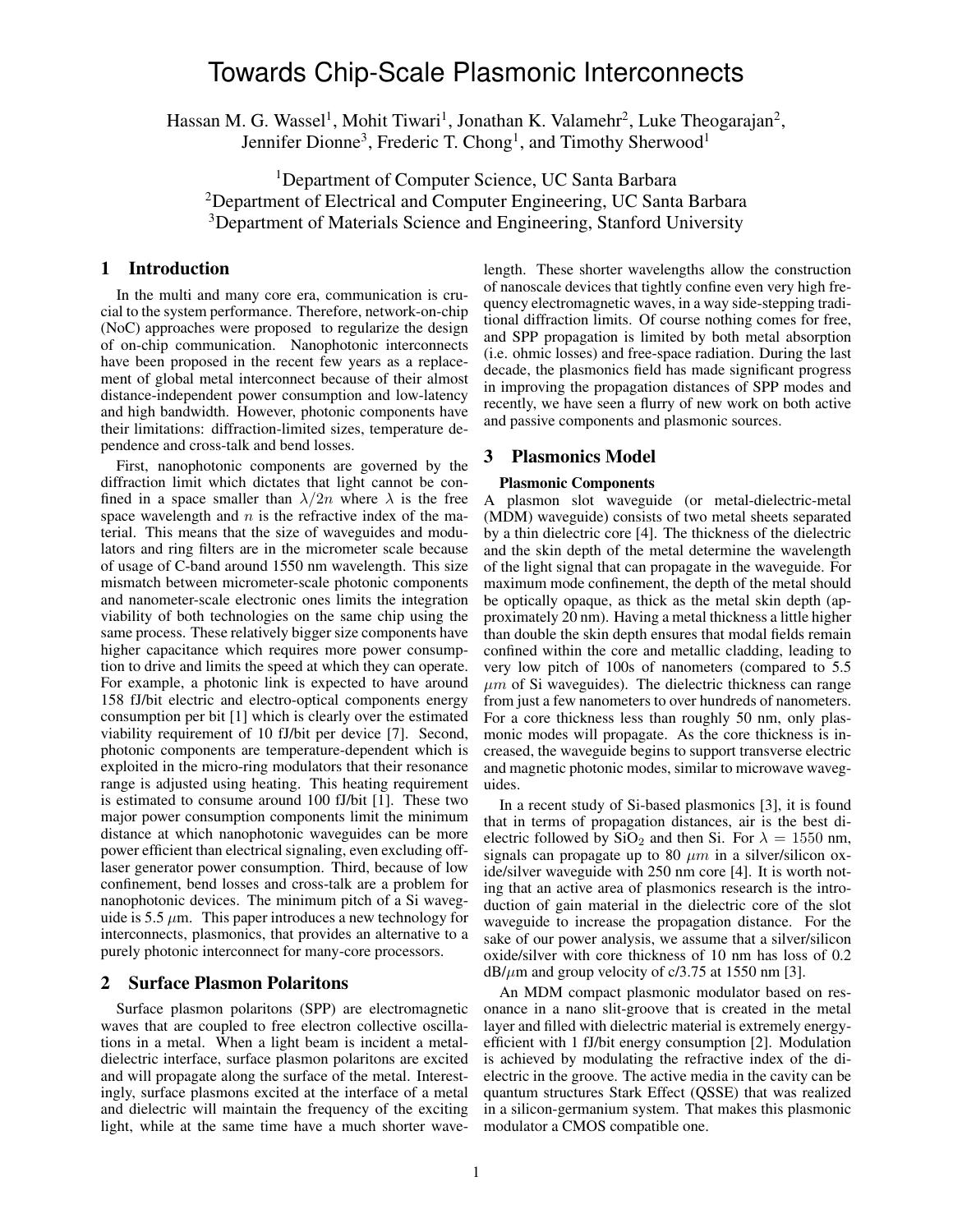# Towards Chip-Scale Plasmonic Interconnects

Hassan M. G. Wassel<sup>1</sup>, Mohit Tiwari<sup>1</sup>, Jonathan K. Valamehr<sup>2</sup>, Luke Theogarajan<sup>2</sup>, Jennifer Dionne<sup>3</sup>, Frederic T. Chong<sup>1</sup>, and Timothy Sherwood<sup>1</sup>

<sup>1</sup>Department of Computer Science, UC Santa Barbara <sup>2</sup>Department of Electrical and Computer Engineering, UC Santa Barbara <sup>3</sup>Department of Materials Science and Engineering, Stanford University

# 1 Introduction

In the multi and many core era, communication is crucial to the system performance. Therefore, network-on-chip (NoC) approaches were proposed to regularize the design of on-chip communication. Nanophotonic interconnects have been proposed in the recent few years as a replacement of global metal interconnect because of their almost distance-independent power consumption and low-latency and high bandwidth. However, photonic components have their limitations: diffraction-limited sizes, temperature dependence and cross-talk and bend losses.

First, nanophotonic components are governed by the diffraction limit which dictates that light cannot be confined in a space smaller than  $\lambda/2n$  where  $\lambda$  is the free space wavelength and  $n$  is the refractive index of the material. This means that the size of waveguides and modulators and ring filters are in the micrometer scale because of usage of C-band around 1550 nm wavelength. This size mismatch between micrometer-scale photonic components and nanometer-scale electronic ones limits the integration viability of both technologies on the same chip using the same process. These relatively bigger size components have higher capacitance which requires more power consumption to drive and limits the speed at which they can operate. For example, a photonic link is expected to have around 158 fJ/bit electric and electro-optical components energy consumption per bit [1] which is clearly over the estimated viability requirement of 10 fJ/bit per device [7]. Second, photonic components are temperature-dependent which is exploited in the micro-ring modulators that their resonance range is adjusted using heating. This heating requirement is estimated to consume around 100 fJ/bit [1]. These two major power consumption components limit the minimum distance at which nanophotonic waveguides can be more power efficient than electrical signaling, even excluding offlaser generator power consumption. Third, because of low confinement, bend losses and cross-talk are a problem for nanophotonic devices. The minimum pitch of a Si waveguide is 5.5  $\mu$ m. This paper introduces a new technology for interconnects, plasmonics, that provides an alternative to a purely photonic interconnect for many-core processors.

# 2 Surface Plasmon Polaritons

Surface plasmon polaritons (SPP) are electromagnetic waves that are coupled to free electron collective oscillations in a metal. When a light beam is incident a metaldielectric interface, surface plasmon polaritons are excited and will propagate along the surface of the metal. Interestingly, surface plasmons excited at the interface of a metal and dielectric will maintain the frequency of the exciting light, while at the same time have a much shorter wavelength. These shorter wavelengths allow the construction of nanoscale devices that tightly confine even very high frequency electromagnetic waves, in a way side-stepping traditional diffraction limits. Of course nothing comes for free, and SPP propagation is limited by both metal absorption (i.e. ohmic losses) and free-space radiation. During the last decade, the plasmonics field has made significant progress in improving the propagation distances of SPP modes and recently, we have seen a flurry of new work on both active and passive components and plasmonic sources.

## 3 Plasmonics Model

## Plasmonic Components

A plasmon slot waveguide (or metal-dielectric-metal (MDM) waveguide) consists of two metal sheets separated by a thin dielectric core [4]. The thickness of the dielectric and the skin depth of the metal determine the wavelength of the light signal that can propagate in the waveguide. For maximum mode confinement, the depth of the metal should be optically opaque, as thick as the metal skin depth (approximately 20 nm). Having a metal thickness a little higher than double the skin depth ensures that modal fields remain confined within the core and metallic cladding, leading to very low pitch of 100s of nanometers (compared to 5.5  $\mu$ m of Si waveguides). The dielectric thickness can range from just a few nanometers to over hundreds of nanometers. For a core thickness less than roughly 50 nm, only plasmonic modes will propagate. As the core thickness is increased, the waveguide begins to support transverse electric and magnetic photonic modes, similar to microwave waveguides.

In a recent study of Si-based plasmonics [3], it is found that in terms of propagation distances, air is the best dielectric followed by SiO<sub>2</sub> and then Si. For  $\lambda = 1550$  nm, signals can propagate up to 80  $\mu$ m in a silver/silicon oxide/silver waveguide with 250 nm core [4]. It is worth noting that an active area of plasmonics research is the introduction of gain material in the dielectric core of the slot waveguide to increase the propagation distance. For the sake of our power analysis, we assume that a silver/silicon oxide/silver with core thickness of 10 nm has loss of 0.2  $dB/\mu$ m and group velocity of c/3.75 at 1550 nm [3].

An MDM compact plasmonic modulator based on resonance in a nano slit-groove that is created in the metal layer and filled with dielectric material is extremely energyefficient with 1 fJ/bit energy consumption [2]. Modulation is achieved by modulating the refractive index of the dielectric in the groove. The active media in the cavity can be quantum structures Stark Effect (QSSE) that was realized in a silicon-germanium system. That makes this plasmonic modulator a CMOS compatible one.